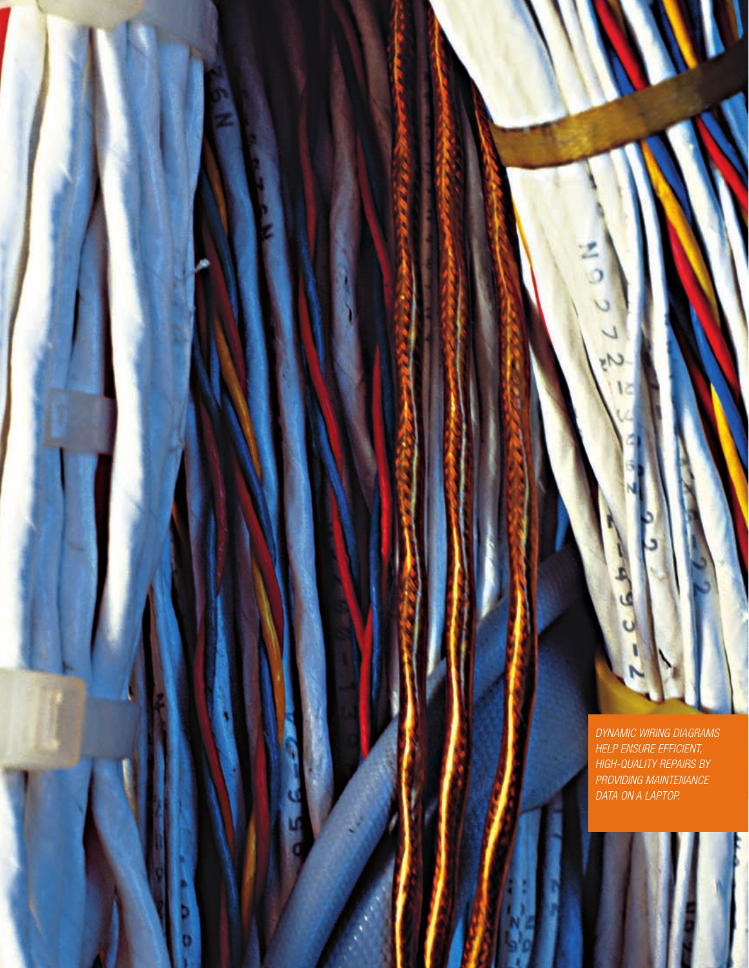DYNAMIC WIRING DIAGRAMS HELP ENSURE EFFICIENT,<br>HIGH-QUALITY REPAIRS BY PROVIDING MAINTENANCE<br>DATA ON A LAPTOP.

W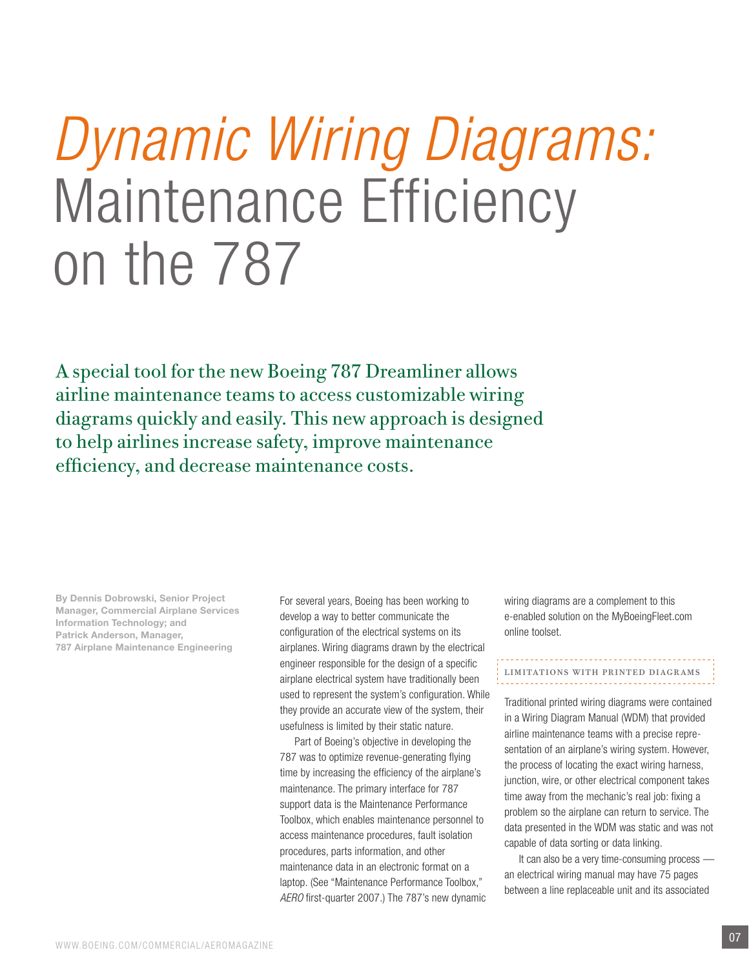# *Dynamic Wiring Diagrams:* Maintenance Efficiency on the 787

A special tool for the new Boeing 787 Dreamliner allows airline maintenance teams to access customizable wiring diagrams quickly and easily. This new approach is designed to help airlines increase safety, improve maintenance efficiency, and decrease maintenance costs.

By Dennis Dobrowski, Senior Project Manager, Commercial Airplane Services Information Technology; and Patrick Anderson, Manager, 787 Airplane Maintenance Engineering

For several years, Boeing has been working to develop a way to better communicate the configuration of the electrical systems on its airplanes. Wiring diagrams drawn by the electrical engineer responsible for the design of a specific airplane electrical system have traditionally been used to represent the system's configuration. While they provide an accurate view of the system, their usefulness is limited by their static nature.

Part of Boeing's objective in developing the 787 was to optimize revenue-generating flying time by increasing the efficiency of the airplane's maintenance. The primary interface for 787 support data is the Maintenance Performance Toolbox, which enables maintenance personnel to access maintenance procedures, fault isolation procedures, parts information, and other maintenance data in an electronic format on a laptop. (See "Maintenance Performance Toolbox," *AERO* first-quarter 2007.) The 787's new dynamic wiring diagrams are a complement to this e-enabled solution on the MyBoeingFleet.com online toolset.

## Limitations with printed diagrams

Traditional printed wiring diagrams were contained in a Wiring Diagram Manual (WDM) that provided airline maintenance teams with a precise representation of an airplane's wiring system. However, the process of locating the exact wiring harness, junction, wire, or other electrical component takes time away from the mechanic's real job: fixing a problem so the airplane can return to service. The data presented in the WDM was static and was not capable of data sorting or data linking.

It can also be a very time-consuming process  an electrical wiring manual may have 75 pages between a line replaceable unit and its associated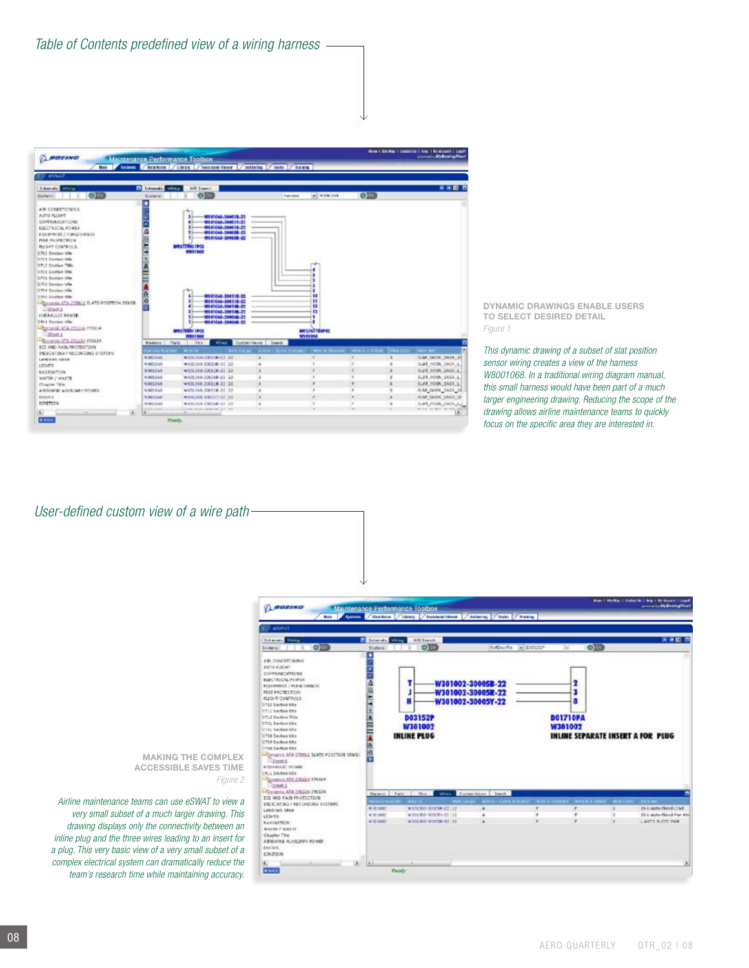*Table of Contents predefined view of a wiring harness*



DYNAMIC DRAWINGS ENABLE USERS TO SELECT DESIRED DETAIL *Figure 1*

*This dynamic drawing of a subset of slat position sensor wiring creates a view of the harness W8001068. In a traditional wiring diagram manual, this small harness would have been part of a much larger engineering drawing. Reducing the scope of the drawing allows airline maintenance teams to quickly focus on the specific area they are interested in.*

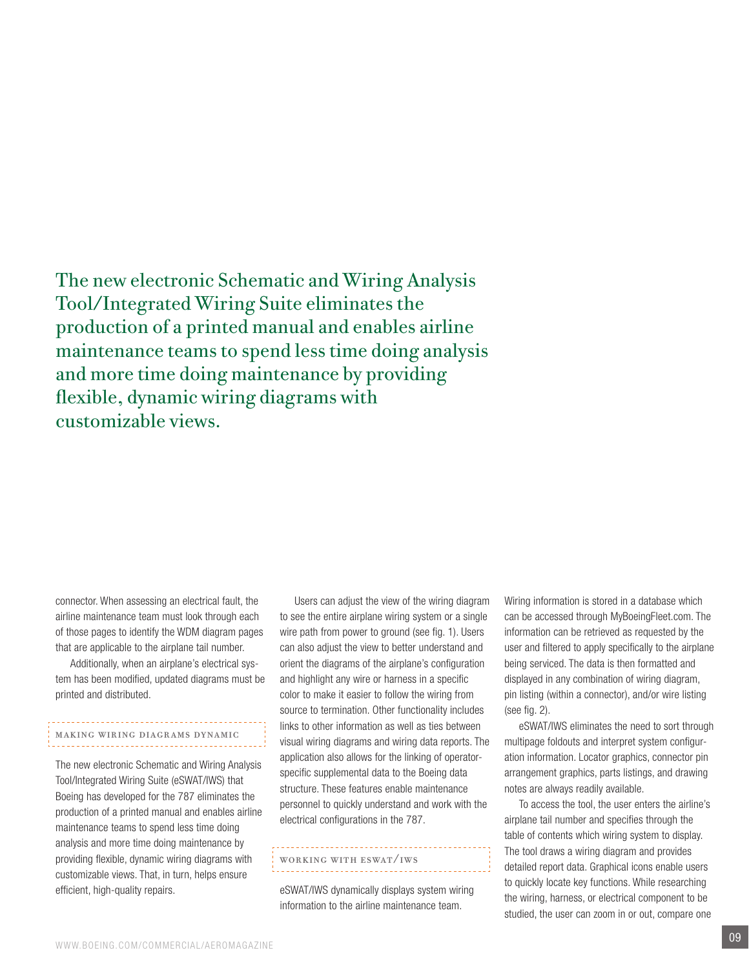The new electronic Schematic and Wiring Analysis Tool/Integrated Wiring Suite eliminates the production of a printed manual and enables airline maintenance teams to spend less time doing analysis and more time doing maintenance by providing flexible, dynamic wiring diagrams with customizable views.

connector. When assessing an electrical fault, the airline maintenance team must look through each of those pages to identify the WDM diagram pages that are applicable to the airplane tail number.

Additionally, when an airplane's electrical system has been modified, updated diagrams must be printed and distributed.

### Making wiring diagrams dynamic

The new electronic Schematic and Wiring Analysis Tool/Integrated Wiring Suite (eSWAT/IWS) that Boeing has developed for the 787 eliminates the production of a printed manual and enables airline maintenance teams to spend less time doing analysis and more time doing maintenance by providing flexible, dynamic wiring diagrams with customizable views. That, in turn, helps ensure efficient, high-quality repairs.

Users can adjust the view of the wiring diagram to see the entire airplane wiring system or a single wire path from power to ground (see fig. 1). Users can also adjust the view to better understand and orient the diagrams of the airplane's configuration and highlight any wire or harness in a specific color to make it easier to follow the wiring from source to termination. Other functionality includes links to other information as well as ties between visual wiring diagrams and wiring data reports. The application also allows for the linking of operatorspecific supplemental data to the Boeing data structure. These features enable maintenance personnel to quickly understand and work with the electrical configurations in the 787.

#### Working with eSWAT/IWS

eSWAT/IWS dynamically displays system wiring information to the airline maintenance team.

Wiring information is stored in a database which can be accessed through MyBoeingFleet.com. The information can be retrieved as requested by the user and filtered to apply specifically to the airplane being serviced. The data is then formatted and displayed in any combination of wiring diagram, pin listing (within a connector), and/or wire listing (see fig. 2).

eSWAT/IWS eliminates the need to sort through multipage foldouts and interpret system configuration information. Locator graphics, connector pin arrangement graphics, parts listings, and drawing notes are always readily available.

To access the tool, the user enters the airline's airplane tail number and specifies through the table of contents which wiring system to display. The tool draws a wiring diagram and provides detailed report data. Graphical icons enable users to quickly locate key functions. While researching the wiring, harness, or electrical component to be studied, the user can zoom in or out, compare one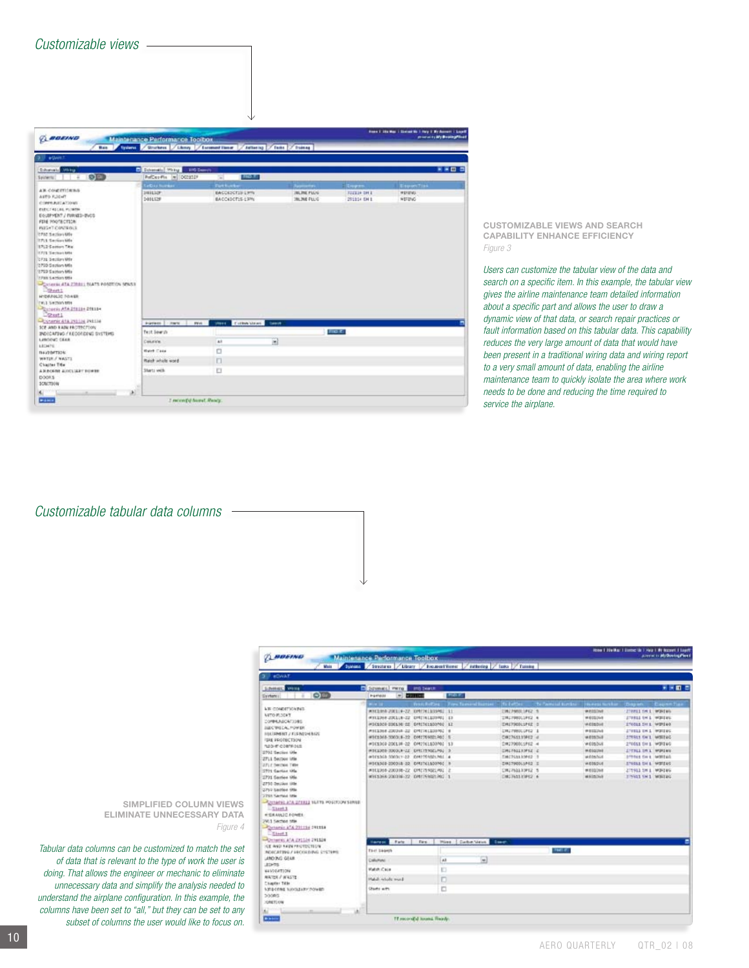| Customizable views |  |
|--------------------|--|
|--------------------|--|

| <b>Base</b><br><b>B</b> <i>eQuitt</i> 7<br><b>Columnia</b> Write<br>0 <sup>2</sup><br>Sections!                                                                                                                                                                                                                                                                                                                                                               | trains / Sturken / Likery / Luxement Floor<br><b>P.</b> Determined Winter<br><b>ING Search</b><br>RefDes Pix   N   DODESER | / Authening                                                       | Factor of Training                                           |                                                    |                                       |
|---------------------------------------------------------------------------------------------------------------------------------------------------------------------------------------------------------------------------------------------------------------------------------------------------------------------------------------------------------------------------------------------------------------------------------------------------------------|----------------------------------------------------------------------------------------------------------------------------|-------------------------------------------------------------------|--------------------------------------------------------------|----------------------------------------------------|---------------------------------------|
|                                                                                                                                                                                                                                                                                                                                                                                                                                                               |                                                                                                                            |                                                                   |                                                              |                                                    |                                       |
|                                                                                                                                                                                                                                                                                                                                                                                                                                                               |                                                                                                                            |                                                                   |                                                              |                                                    | <b>KAD 5</b>                          |
|                                                                                                                                                                                                                                                                                                                                                                                                                                                               |                                                                                                                            | 180.5<br>3                                                        |                                                              |                                                    |                                       |
| All courrelates<br>ASTO FOONT<br>CONFEREDATIONS<br>ELECTRICAL PUMPS<br>EGGPHENT / FUNDED-BVCG<br>FEM PROTECTION<br><b>FUGAT CONTENLS</b><br>1702 Satisside<br>TTLS Section Mfs<br>1712 Comen Title<br><b>CFI'S Section MM</b><br>12731 Section Mile<br>3793 Septem Mile<br>12703 Sachon Mile<br>1733 Section 664<br>-CASARIA ATA 220411 SLATS POSITION SENSIT<br><b>Distant</b><br><b>HYDRANLIC FOASE</b><br>1913 Section 1914<br>Parameter ATA 212134 212154 | Lettra Norman<br>SHILLER<br>1401128                                                                                        | <b>Parkfluider:</b><br><b>EACOEDCTIF LIME</b><br>BACCEDETIS-LIPPE | <b>Juanneton</b><br><b>JULIUS PLUG</b><br><b>JILINE FLUG</b> | <b>Empare</b><br><b>FEED ON E</b><br>DISSILIA EN E | Enport Tips<br>WEIGHT<br><b>WEEKS</b> |
| Distant 1<br>Discounts 41A INSIDE PARTIE<br>SCE AND EASY FROTECTION                                                                                                                                                                                                                                                                                                                                                                                           | Harwes   Jawre<br><b>Print</b>                                                                                             | <b>WHAT I CONNECTION</b><br><b>Service</b>                        |                                                              |                                                    |                                       |
| INDICATIVO / RECORDING EVETIME                                                                                                                                                                                                                                                                                                                                                                                                                                | Test Search                                                                                                                |                                                                   |                                                              | <b>FIGHT</b>                                       |                                       |
| LANDENC CAAR<br>LETHTS:                                                                                                                                                                                                                                                                                                                                                                                                                                       | CHARTEN                                                                                                                    | Ŵ<br>A1                                                           |                                                              |                                                    |                                       |
| <b>BAVIO/FIDE</b>                                                                                                                                                                                                                                                                                                                                                                                                                                             | <b>Holes Case</b>                                                                                                          | o                                                                 |                                                              |                                                    |                                       |
| WATER / WASTE                                                                                                                                                                                                                                                                                                                                                                                                                                                 | Ratch which word.                                                                                                          | $\Box$                                                            |                                                              |                                                    |                                       |
| Chainst Title<br>ABROSOF AUDILIARY BOWER<br>D008.5<br>SCALTEON                                                                                                                                                                                                                                                                                                                                                                                                | Starts with                                                                                                                | D                                                                 |                                                              |                                                    |                                       |

CUSTOMIZABLE VIEWS AND SEARCH CAPABILITY ENHANCE EFFICIENCY *Figure 3*

*Users can customize the tabular view of the data and search on a specific item. In this example, the tabular view gives the airline maintenance team detailed information about a specific part and allows the user to draw a dynamic view of that data, or search repair practices or fault information based on this tabular data. This capability reduces the very large amount of data that would have been present in a traditional wiring data and wiring report to a very small amount of data, enabling the airline maintenance team to quickly isolate the area where work needs to be done and reducing the time required to service the airplane.*

*Customizable tabular data columns* 

| <b>BURGWAT</b>                                                                                                                                                                                                                                                                                                                                                                                                                                                |                                                                                                                                                                                                                                                                                                                                                                                                                                   |                                                |                                                                                                                                                                                                          |                                                                                                                                                        |                                                                                                                                                                                                                                                                                                             |
|---------------------------------------------------------------------------------------------------------------------------------------------------------------------------------------------------------------------------------------------------------------------------------------------------------------------------------------------------------------------------------------------------------------------------------------------------------------|-----------------------------------------------------------------------------------------------------------------------------------------------------------------------------------------------------------------------------------------------------------------------------------------------------------------------------------------------------------------------------------------------------------------------------------|------------------------------------------------|----------------------------------------------------------------------------------------------------------------------------------------------------------------------------------------------------------|--------------------------------------------------------------------------------------------------------------------------------------------------------|-------------------------------------------------------------------------------------------------------------------------------------------------------------------------------------------------------------------------------------------------------------------------------------------------------------|
| <b>STREETS</b> VIVIL                                                                                                                                                                                                                                                                                                                                                                                                                                          | al Screenats, Perna<br><b>INS SHALE</b>                                                                                                                                                                                                                                                                                                                                                                                           |                                                |                                                                                                                                                                                                          |                                                                                                                                                        | 大米国の                                                                                                                                                                                                                                                                                                        |
| <b>OT</b><br><b>Syrtery:</b>                                                                                                                                                                                                                                                                                                                                                                                                                                  | w.<br>PARMA<br><b>STATISTICS</b>                                                                                                                                                                                                                                                                                                                                                                                                  | max.                                           |                                                                                                                                                                                                          |                                                                                                                                                        |                                                                                                                                                                                                                                                                                                             |
| <b>LE COMMETIONNE</b><br>NATO PLOCAT<br>DOMES ALCATIONS<br>DUCTING A POWER<br>2012/05/20 12:33 N DAIMAGUE<br><b>ISSE PROTECTION</b><br><b>NIGHT CONTROLS</b><br>2702 Section 106<br>2711 Section little<br>UPLE Second Table<br><b>STOR GANGAS WAS</b><br>2731 Sames We<br>2750 Section little<br>2762 Saction Otle<br><b>STRA Serrald Istle</b><br><b>COMMISSION SEEMS REPORTED ASSESS</b><br>$-53441$<br><b>VISILANCE FONES</b><br><b>SAL1 Section 1894</b> | <b>Carlotte</b><br>WHEELMA JUNEUR-22, EPRICHELESSME 11<br>WILLIAM JOCKLIN-22 EMETRILEDING 13<br>WECLOCO-DOCLINE-DE DANCHELSOOPOC AZ<br>WHEEDOM JOURNAL CO. GOVERNMENT OF<br>WEELMA-3000LK-22 0ME76902120115<br>#001908 200118-22 040101103702 13<br>WOELDOG SOUGHAVE EMECTINGENS 3<br>WEELNIA SOCOLY-22 CANTEROLINE 4<br>WOELDIG-2000IS-32 DMITCLEO3NG R<br>WELLING-JOINTE-IV EMITTERIC PRI 2<br>WHITANA 200316-22 EVERYWAY RAD 1 | Transferred Fore Terminal Instead - Its Felter | <b>UNIVERSITY</b> 1<br>UNIVERSITY 4<br>EMITROBLIFEE 3<br>UNITED LPG 3<br>CHIZARENTREZ 40<br>CHINGHIPS 4<br><b>EMERGIERSPRIE IE</b><br>HMCPANKHHEE IN<br>CHATGOLSPEZ Z<br>CRIMALISPEZ 5<br>CALVASTRIPED & | <b>WRITEDVE</b><br><b>MESSIONE</b><br>WEDNESDAR<br>WEIGHAE<br>WIDSTILLE<br>WEDDECK<br><b>WESSING</b><br>WEDDING<br>WEDEDOR<br><b>MEDIZINE</b><br>WEDDO | To family kinks - Investments - Dayan - Capen fax<br>Titula in L. World.<br>STEELS IN L. WOLLES.<br>ETOIS DEA WINIGO<br>STEELED H. L. WORLDG<br>STEELS EN'L WIETEG<br>270011 OV 1 WORLOW<br>ETTILL IN 1 WORLOW<br>attest for a legisland<br>ENGLI DE L. MOTERO<br>271911 1H 1 M3H18G<br>TINGS ON \$ MONTAGE |
| Consenir aTA 201114 291118<br>$-$ Sheet 1<br><b>HOMES ATA EXCLUSIVELY</b>                                                                                                                                                                                                                                                                                                                                                                                     | Harest Fatt<br><b>Date:</b>                                                                                                                                                                                                                                                                                                                                                                                                       | Wisse, J. Carlton Views                        | lase                                                                                                                                                                                                     |                                                                                                                                                        |                                                                                                                                                                                                                                                                                                             |
| <b>ALE WAS ARRESTED TO A</b><br><b>NOULATING / HECKEDING STSTERS:</b>                                                                                                                                                                                                                                                                                                                                                                                         | <b>That Shares</b>                                                                                                                                                                                                                                                                                                                                                                                                                |                                                | meter.                                                                                                                                                                                                   |                                                                                                                                                        |                                                                                                                                                                                                                                                                                                             |
| JAC 340 GELB                                                                                                                                                                                                                                                                                                                                                                                                                                                  | CallePlate                                                                                                                                                                                                                                                                                                                                                                                                                        | $\overline{M}$<br>All                          |                                                                                                                                                                                                          |                                                                                                                                                        |                                                                                                                                                                                                                                                                                                             |
|                                                                                                                                                                                                                                                                                                                                                                                                                                                               | Match Cale                                                                                                                                                                                                                                                                                                                                                                                                                        | Ð                                              |                                                                                                                                                                                                          |                                                                                                                                                        |                                                                                                                                                                                                                                                                                                             |
|                                                                                                                                                                                                                                                                                                                                                                                                                                                               |                                                                                                                                                                                                                                                                                                                                                                                                                                   |                                                |                                                                                                                                                                                                          |                                                                                                                                                        |                                                                                                                                                                                                                                                                                                             |
| JOHN.<br>44V) GATTIONA<br><b>WATHE / WASTE</b>                                                                                                                                                                                                                                                                                                                                                                                                                |                                                                                                                                                                                                                                                                                                                                                                                                                                   |                                                |                                                                                                                                                                                                          |                                                                                                                                                        |                                                                                                                                                                                                                                                                                                             |
| Chapter Title<br><b>Ambonne Automaker Nowan</b>                                                                                                                                                                                                                                                                                                                                                                                                               | Match whide word<br><b>Olaste with</b>                                                                                                                                                                                                                                                                                                                                                                                            | б<br>n                                         |                                                                                                                                                                                                          |                                                                                                                                                        |                                                                                                                                                                                                                                                                                                             |

Simplified column views eliminate unnecessary data *Figure 4*

*Tabular data columns can be customized to match the set of data that is relevant to the type of work the user is doing. That allows the engineer or mechanic to eliminate unnecessary data and simplify the analysis needed to understand the airplane configuration. In this example, the columns have been set to "all," but they can be set to any subset of columns the user would like to focus on.*